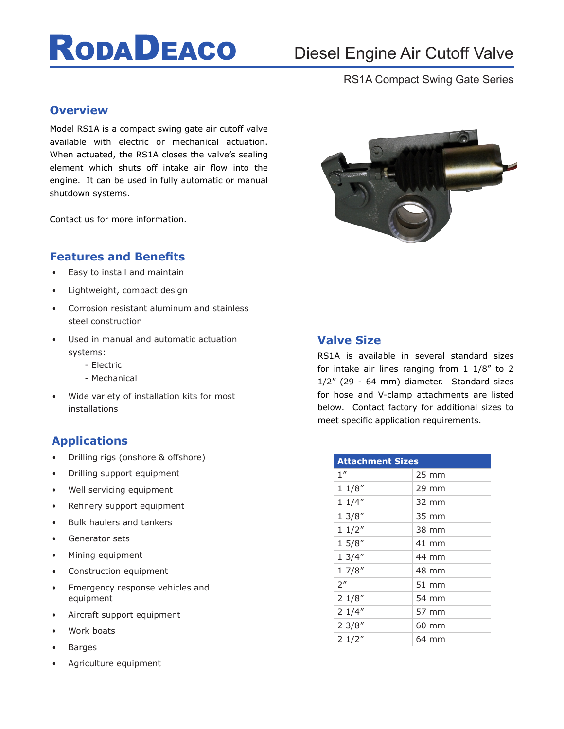# **RODADEACO**

## Diesel Engine Air Cutoff Valve

## RS1A Compact Swing Gate Series

### **Overview**

Model RS1A is a compact swing gate air cutoff valve available with electric or mechanical actuation. When actuated, the RS1A closes the valve's sealing element which shuts off intake air flow into the engine. It can be used in fully automatic or manual shutdown systems.

Contact us for more information.

### **Features and Benefits**

- Easy to install and maintain
- Lightweight, compact design
- Corrosion resistant aluminum and stainless steel construction
- Used in manual and automatic actuation systems:
	- Electric
	- Mechanical
- Wide variety of installation kits for most installations

## **Applications**

- Drilling rigs (onshore & offshore)
- Drilling support equipment
- Well servicing equipment
- Refinery support equipment
- Bulk haulers and tankers
- Generator sets
- Mining equipment
- Construction equipment
- Emergency response vehicles and equipment
- Aircraft support equipment
- Work boats
- **Barges**
- Agriculture equipment



## **Valve Size**

RS1A is available in several standard sizes for intake air lines ranging from 1 1/8" to 2 1/2" (29 - 64 mm) diameter. Standard sizes for hose and V-clamp attachments are listed below. Contact factory for additional sizes to meet specific application requirements.

| <b>Attachment Sizes</b> |                 |
|-------------------------|-----------------|
| 1 <sup>''</sup>         | $25 \text{ mm}$ |
| 11/8''                  | 29 mm           |
| 11/4"                   | 32 mm           |
| 13/8''                  | 35 mm           |
| 11/2"                   | 38 mm           |
| 15/8''                  | 41 mm           |
| 13/4"                   | 44 mm           |
| 17/8''                  | 48 mm           |
| 2 <sup>''</sup>         | 51 mm           |
| 21/8''                  | 54 mm           |
| 21/4"                   | 57 mm           |
| 23/8''                  | 60 mm           |
| 21/2"                   | 64 mm           |